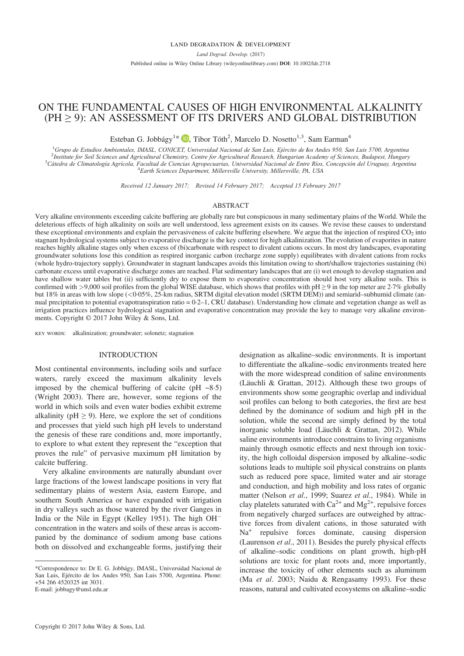# ON THE FUNDAMENTAL CAUSES OF HIGH ENVIRONMENTAL ALKALINITY (PH ≥ 9): AN ASSESSMENT OF ITS DRIVERS AND GLOBAL DISTRIBUTION

Esteban G. Jobbágy<sup>1\*</sup> D[,](http://orcid.org/0000-0002-4214-6011) Tibor Tóth<sup>2</sup>, Marcelo D. Nosetto<sup>1,3</sup>, Sam Earman<sup>4</sup>

<sup>1</sup>Grupo de Estudios Ambientales, IMASL, CONICET, Universidad Nacional de San Luis, Ejército de los Andes 950, San Luis 5700, Argentina<br><sup>2</sup>Institute for Soil Sciences and Agricultural Chemistry Centre for Agricultural Rese  $^{2}$ Institute for Soil Sciences and Agricultural Chemistry, Centre for Agricultural Research, Hungarian Academy of Sciences, Budapest, Hungary <sup>3</sup>Cátedra de Climatología Agrícola, Facultad de Ciencias Agropecuarias, Universidad Nacional de Entre Ríos, Concepción del Uruguay, Argentina Earth Sciences Department, Millersville University, Millersville, PA, USA

Received 12 January 2017; Revised 14 February 2017; Accepted 15 February 2017

#### ABSTRACT

Very alkaline environments exceeding calcite buffering are globally rare but conspicuous in many sedimentary plains of the World. While the deleterious effects of high alkalinity on soils are well understood, less agreement exists on its causes. We revise these causes to understand these exceptional environments and explain the pervasiveness of calcite buffering elsewhere. We argue that the injection of respired  $CO<sub>2</sub>$  into stagnant hydrological systems subject to evaporative discharge is the key context for high alkalinization. The evolution of evaporites in nature reaches highly alkaline stages only when excess of (bi)carbonate with respect to divalent cations occurs. In most dry landscapes, evaporating groundwater solutions lose this condition as respired inorganic carbon (recharge zone supply) equilibrates with divalent cations from rocks (whole hydro-trajectory supply). Groundwater in stagnant landscapes avoids this limitation owing to short/shallow trajectories sustaining (bi) carbonate excess until evaporative discharge zones are reached. Flat sedimentary landscapes that are (i) wet enough to develop stagnation and have shallow water tables but (ii) sufficiently dry to expose them to evaporative concentration should host very alkaline soils. This is confirmed with >9,000 soil profiles from the global WISE database, which shows that profiles with  $pH \ge 9$  in the top meter are 2.7% globally but 18% in areas with low slope (<0.05%, 25-km radius, SRTM digital elevation model (SRTM DEM)) and semiarid–subhumid climate (annual precipitation to potential evapotranspiration ratio = 0·2–1, CRU database). Understanding how climate and vegetation change as well as irrigation practices influence hydrological stagnation and evaporative concentration may provide the key to manage very alkaline environments. Copyright © 2017 John Wiley & Sons, Ltd.

key words: alkalinization; groundwater; solonetz; stagnation

# INTRODUCTION

Most continental environments, including soils and surface waters, rarely exceed the maximum alkalinity levels imposed by the chemical buffering of calcite (pH  $\sim$ 8.5) (Wright 2003). There are, however, some regions of the world in which soils and even water bodies exhibit extreme alkalinity ( $pH \ge 9$ ). Here, we explore the set of conditions and processes that yield such high pH levels to understand the genesis of these rare conditions and, more importantly, to explore to what extent they represent the "exception that proves the rule" of pervasive maximum pH limitation by calcite buffering.

Very alkaline environments are naturally abundant over large fractions of the lowest landscape positions in very flat sedimentary plains of western Asia, eastern Europe, and southern South America or have expanded with irrigation in dry valleys such as those watered by the river Ganges in India or the Nile in Egypt (Kelley 1951). The high OH concentration in the waters and soils of these areas is accompanied by the dominance of sodium among base cations both on dissolved and exchangeable forms, justifying their designation as alkaline–sodic environments. It is important to differentiate the alkaline–sodic environments treated here with the more widespread condition of saline environments (Läuchli & Grattan, 2012). Although these two groups of environments show some geographic overlap and individual soil profiles can belong to both categories, the first are best defined by the dominance of sodium and high pH in the solution, while the second are simply defined by the total inorganic soluble load (Läuchli & Grattan, 2012). While saline environments introduce constrains to living organisms mainly through osmotic effects and next through ion toxicity, the high colloidal dispersion imposed by alkaline–sodic solutions leads to multiple soil physical constrains on plants such as reduced pore space, limited water and air storage and conduction, and high mobility and loss rates of organic matter (Nelson et al., 1999; Suarez et al., 1984). While in clay platelets saturated with  $Ca^{2+}$  and  $Mg^{2+}$ , repulsive forces from negatively charged surfaces are outweighed by attractive forces from divalent cations, in those saturated with Na<sup>+</sup> repulsive forces dominate, causing dispersion (Laurenson *et al.*, 2011). Besides the purely physical effects of alkaline–sodic conditions on plant growth, high-pH solutions are toxic for plant roots and, more importantly, increase the toxicity of other elements such as aluminum (Ma et al. 2003; Naidu & Rengasamy 1993). For these reasons, natural and cultivated ecosystems on alkaline–sodic

<sup>\*</sup>Correspondence to: Dr E. G. Jobbágy, IMASL, Universidad Nacional de San Luis, Ejército de los Andes 950, San Luis 5700, Argentina. Phone: +54 266 4520325 int 3031. E-mail: jobbagy@unsl.edu.ar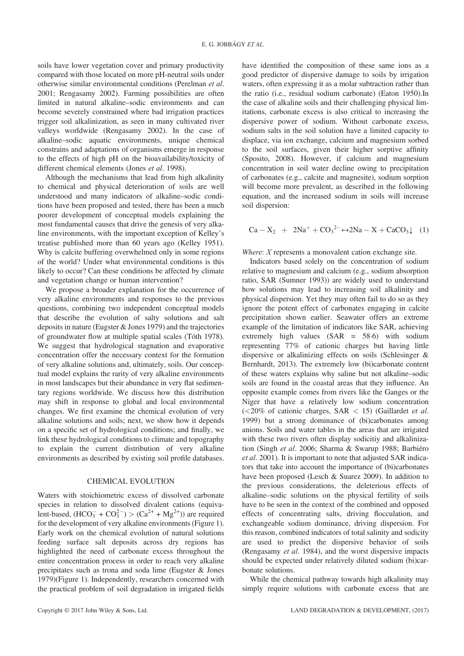soils have lower vegetation cover and primary productivity compared with those located on more pH-neutral soils under otherwise similar environmental conditions (Perelman et al. 2001; Rengasamy 2002). Farming possibilities are often limited in natural alkaline–sodic environments and can become severely constrained where bad irrigation practices trigger soil alkalinization, as seen in many cultivated river valleys worldwide (Rengasamy 2002). In the case of alkaline–sodic aquatic environments, unique chemical constrains and adaptations of organisms emerge in response to the effects of high pH on the bioavailability/toxicity of different chemical elements (Jones et al. 1998).

Although the mechanisms that lead from high alkalinity to chemical and physical deterioration of soils are well understood and many indicators of alkaline–sodic conditions have been proposed and tested, there has been a much poorer development of conceptual models explaining the most fundamental causes that drive the genesis of very alkaline environments, with the important exception of Kelley's treatise published more than 60 years ago (Kelley 1951). Why is calcite buffering overwhelmed only in some regions of the world? Under what environmental conditions is this likely to occur? Can these conditions be affected by climate and vegetation change or human intervention?

We propose a broader explanation for the occurrence of very alkaline environments and responses to the previous questions, combining two independent conceptual models that describe the evolution of salty solutions and salt deposits in nature (Eugster & Jones 1979) and the trajectories of groundwater flow at multiple spatial scales (Tóth 1978). We suggest that hydrological stagnation and evaporative concentration offer the necessary context for the formation of very alkaline solutions and, ultimately, soils. Our conceptual model explains the rarity of very alkaline environments in most landscapes but their abundance in very flat sedimentary regions worldwide. We discuss how this distribution may shift in response to global and local environmental changes. We first examine the chemical evolution of very alkaline solutions and soils; next, we show how it depends on a specific set of hydrological conditions; and finally, we link these hydrological conditions to climate and topography to explain the current distribution of very alkaline environments as described by existing soil profile databases.

# CHEMICAL EVOLUTION

Waters with stoichiometric excess of dissolved carbonate species in relation to dissolved divalent cations (equivalent-based,  $(HCO_3^- + CO_3^{2-}) > (Ca^{2+} + Mg^{2+})$  are required for the development of very alkaline environments (Figure 1). Early work on the chemical evolution of natural solutions feeding surface salt deposits across dry regions has highlighted the need of carbonate excess throughout the entire concentration process in order to reach very alkaline precipitates such as trona and soda lime (Eugster & Jones 1979)(Figure 1). Independently, researchers concerned with the practical problem of soil degradation in irrigated fields

have identified the composition of these same ions as a good predictor of dispersive damage to soils by irrigation waters, often expressing it as a molar subtraction rather than the ratio (i.e., residual sodium carbonate) (Eaton 1950).In the case of alkaline soils and their challenging physical limitations, carbonate excess is also critical to increasing the dispersive power of sodium. Without carbonate excess, sodium salts in the soil solution have a limited capacity to displace, via ion exchange, calcium and magnesium sorbed to the soil surfaces, given their higher sorptive affinity (Sposito, 2008). However, if calcium and magnesium concentration in soil water decline owing to precipitation of carbonates (e.g., calcite and magnesite), sodium sorption will become more prevalent, as described in the following equation, and the increased sodium in soils will increase soil dispersion:

$$
Ca - X_2 + 2Na^+ + CO_3^{2-} \leftrightarrow 2Na - X + CaCO_3 \downarrow (1)
$$

Where: *X* represents a monovalent cation exchange site.

Indicators based solely on the concentration of sodium relative to magnesium and calcium (e.g., sodium absorption ratio, SAR (Sumner 1993)) are widely used to understand how solutions may lead to increasing soil alkalinity and physical dispersion. Yet they may often fail to do so as they ignore the potent effect of carbonates engaging in calcite precipitation shown earlier. Seawater offers an extreme example of the limitation of indicators like SAR, achieving extremely high values (SAR = 58·6) with sodium representing 77% of cationic charges but having little dispersive or alkalinizing effects on soils (Schlesinger & Bernhardt, 2013). The extremely low (bi)carbonate content of these waters explains why saline but not alkaline–sodic soils are found in the coastal areas that they influence. An opposite example comes from rivers like the Ganges or the Niger that have a relatively low sodium concentration  $(<20\%$  of cationic charges, SAR  $< 15$ ) (Gaillardet *et al.* 1999) but a strong dominance of (bi)carbonates among anions. Soils and water tables in the areas that are irrigated with these two rivers often display sodicitiy and alkalinization (Singh et al. 2006; Sharma & Swarup 1988; Barbiéro et al. 2001). It is important to note that adjusted SAR indicators that take into account the importance of (bi)carbonates have been proposed (Lesch & Suarez 2009). In addition to the previous considerations, the deleterious effects of alkaline–sodic solutions on the physical fertility of soils have to be seen in the context of the combined and opposed effects of concentrating salts, driving flocculation, and exchangeable sodium dominance, driving dispersion. For this reason, combined indicators of total salinity and sodicity are used to predict the dispersive behavior of soils (Rengasamy et al. 1984), and the worst dispersive impacts should be expected under relatively diluted sodium (bi)carbonate solutions.

While the chemical pathway towards high alkalinity may simply require solutions with carbonate excess that are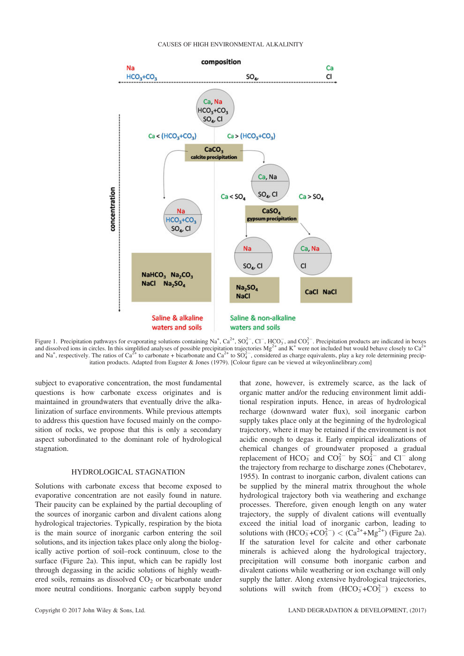

Figure 1. Precipitation pathways for evaporating solutions containing Na<sup>+</sup>, Ca<sup>2+</sup>, SO<sub>4</sub><sup>-</sup>, Cl<sup>-</sup>, HCO<sub>3</sub><sup>-</sup>, and CO<sub>3</sub><sup>-</sup>. Precipitation products are indicated in boxes and dissolved ions in circles. In this simplified analyses of possible precipitation trajectories  $Mg^{2+}$  and K<sup>+</sup> were not included but would behave closely to  $Ca^{2+}$ and Na<sup>+</sup>, respectively. The ratios of Ca<sup>2+</sup> to carbonate + bicarbonate and Ca<sup>2+</sup> to SO<sub>4</sub><sup>-</sup>, considered as charge equivalents, play a key role determining precipitation products. Adapted from Eugster & Jones (1979). [Colour figure can be viewed at [wileyonlinelibrary.com\]](http://wileyonlinelibrary.com)

subject to evaporative concentration, the most fundamental questions is how carbonate excess originates and is maintained in groundwaters that eventually drive the alkalinization of surface environments. While previous attempts to address this question have focused mainly on the composition of rocks, we propose that this is only a secondary aspect subordinated to the dominant role of hydrological stagnation.

# HYDROLOGICAL STAGNATION

Solutions with carbonate excess that become exposed to evaporative concentration are not easily found in nature. Their paucity can be explained by the partial decoupling of the sources of inorganic carbon and divalent cations along hydrological trajectories. Typically, respiration by the biota is the main source of inorganic carbon entering the soil solutions, and its injection takes place only along the biologically active portion of soil–rock continuum, close to the surface (Figure 2a). This input, which can be rapidly lost through degassing in the acidic solutions of highly weathered soils, remains as dissolved  $CO<sub>2</sub>$  or bicarbonate under more neutral conditions. Inorganic carbon supply beyond that zone, however, is extremely scarce, as the lack of organic matter and/or the reducing environment limit additional respiration inputs. Hence, in areas of hydrological recharge (downward water flux), soil inorganic carbon supply takes place only at the beginning of the hydrological trajectory, where it may be retained if the environment is not acidic enough to degas it. Early empirical idealizations of chemical changes of groundwater proposed a gradual replacement of  $HCO_3^-$  and  $CO_3^{2-}$  by  $SO_4^{2-}$  and  $Cl^-$  along the trajectory from recharge to discharge zones (Chebotarev, 1955). In contrast to inorganic carbon, divalent cations can be supplied by the mineral matrix throughout the whole hydrological trajectory both via weathering and exchange processes. Therefore, given enough length on any water trajectory, the supply of divalent cations will eventually exceed the initial load of inorganic carbon, leading to solutions with  $(HCO_3^-+CO_3^{2-}) < (Ca^{2+}+Mg^{2+})$  (Figure 2a). If the saturation level for calcite and other carbonate minerals is achieved along the hydrological trajectory, precipitation will consume both inorganic carbon and divalent cations while weathering or ion exchange will only supply the latter. Along extensive hydrological trajectories, solutions will switch from  $(HCO_3^-+CO_3^{2-})$  excess to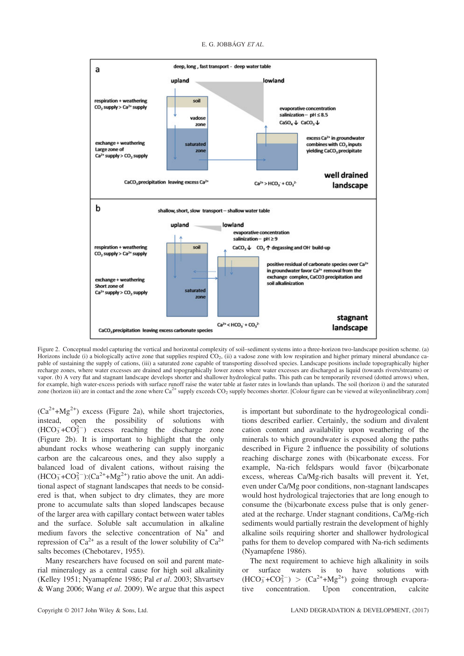#### E. G. JOBBÁGY ET AL.



Figure 2. Conceptual model capturing the vertical and horizontal complexity of soil–sediment systems into a three-horizon two-landscape position scheme. (a) Horizons include (i) a biologically active zone that supplies respired  $CO<sub>2</sub>$ , (ii) a vadose zone with low respiration and higher primary mineral abundance capable of sustaining the supply of cations, (iii) a saturated zone capable of transporting dissolved species. Landscape positions include topographically higher recharge zones, where water excesses are drained and topographically lower zones where water excesses are discharged as liquid (towards rivers/streams) or vapor. (b) A very flat and stagnant landscape develops shorter and shallower hydrological paths. This path can be temporarily reversed (dotted arrows) when, for example, high water-excess periods with surface runoff raise the water table at faster rates in lowlands than uplands. The soil (horizon i) and the saturated zone (horizon iii) are in contact and the zone where  $Ca^{2+}$  supply exceeds  $CO_2$  supply becomes shorter. [Colour figure can be viewed at [wileyonlinelibrary.com\]](http://wileyonlinelibrary.com)

 $(Ca^{2+}+Mg^{2+})$  excess (Figure 2a), while short trajectories, instead, open the possibility of solutions with  $(HCO<sub>3</sub><sup>-</sup>+CO<sub>3</sub><sup>2</sup>)$  excess reaching the discharge zone (Figure 2b). It is important to highlight that the only abundant rocks whose weathering can supply inorganic carbon are the calcareous ones, and they also supply a balanced load of divalent cations, without raising the  $(HCO<sub>3</sub><sup>-</sup>+CO<sub>3</sub><sup>2</sup>)(Ca<sup>2+</sup>+Mg<sup>2+</sup>)$  ratio above the unit. An additional aspect of stagnant landscapes that needs to be considered is that, when subject to dry climates, they are more prone to accumulate salts than sloped landscapes because of the larger area with capillary contact between water tables and the surface. Soluble salt accumulation in alkaline medium favors the selective concentration of Na<sup>+</sup> and repression of  $Ca^{2+}$  as a result of the lower solubility of  $Ca^{2+}$ salts becomes (Chebotarev, 1955).

Many researchers have focused on soil and parent material mineralogy as a central cause for high soil alkalinity (Kelley 1951; Nyamapfene 1986; Pal et al. 2003; Shvartsev & Wang 2006; Wang et al. 2009). We argue that this aspect

is important but subordinate to the hydrogeological conditions described earlier. Certainly, the sodium and divalent cation content and availability upon weathering of the minerals to which groundwater is exposed along the paths described in Figure 2 influence the possibility of solutions reaching discharge zones with (bi)carbonate excess. For example, Na-rich feldspars would favor (bi)carbonate excess, whereas Ca/Mg-rich basalts will prevent it. Yet, even under Ca/Mg poor conditions, non-stagnant landscapes would host hydrological trajectories that are long enough to consume the (bi)carbonate excess pulse that is only generated at the recharge. Under stagnant conditions, Ca/Mg-rich sediments would partially restrain the development of highly alkaline soils requiring shorter and shallower hydrological paths for them to develop compared with Na-rich sediments (Nyamapfene 1986).

The next requirement to achieve high alkalinity in soils or surface waters is to have solutions with  $(HCO<sub>3</sub><sup>-</sup>+CO<sub>3</sub><sup>2</sup>) > (Ca<sup>2+</sup>+Mg<sup>2+</sup>)$  going through evaporative concentration. Upon concentration, calcite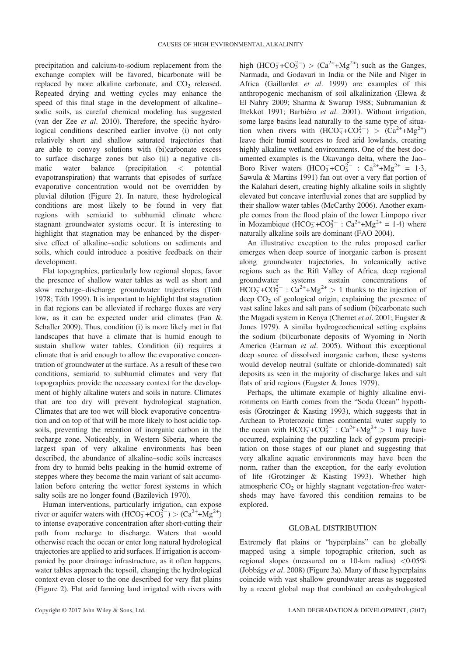precipitation and calcium-to-sodium replacement from the exchange complex will be favored, bicarbonate will be replaced by more alkaline carbonate, and  $CO<sub>2</sub>$  released. Repeated drying and wetting cycles may enhance the speed of this final stage in the development of alkaline– sodic soils, as careful chemical modeling has suggested (van der Zee et al. 2010). Therefore, the specific hydrological conditions described earlier involve (i) not only relatively short and shallow saturated trajectories that are able to convey solutions with (bi)carbonate excess to surface discharge zones but also (ii) a negative climatic water balance (precipitation < potential evapotranspiration) that warrants that episodes of surface evaporative concentration would not be overridden by pluvial dilution (Figure 2). In nature, these hydrological conditions are most likely to be found in very flat regions with semiarid to subhumid climate where stagnant groundwater systems occur. It is interesting to highlight that stagnation may be enhanced by the dispersive effect of alkaline–sodic solutions on sediments and soils, which could introduce a positive feedback on their development.

Flat topographies, particularly low regional slopes, favor the presence of shallow water tables as well as short and slow recharge–discharge groundwater trajectories (Tóth 1978; Tóth 1999). It is important to highlight that stagnation in flat regions can be alleviated if recharge fluxes are very low, as it can be expected under arid climates (Fan & Schaller 2009). Thus, condition (i) is more likely met in flat landscapes that have a climate that is humid enough to sustain shallow water tables. Condition (ii) requires a climate that is arid enough to allow the evaporative concentration of groundwater at the surface. As a result of these two conditions, semiarid to subhumid climates and very flat topographies provide the necessary context for the development of highly alkaline waters and soils in nature. Climates that are too dry will prevent hydrological stagnation. Climates that are too wet will block evaporative concentration and on top of that will be more likely to host acidic topsoils, preventing the retention of inorganic carbon in the recharge zone. Noticeably, in Western Siberia, where the largest span of very alkaline environments has been described, the abundance of alkaline–sodic soils increases from dry to humid belts peaking in the humid extreme of steppes where they become the main variant of salt accumulation before entering the wetter forest systems in which salty soils are no longer found (Bazilevich 1970).

Human interventions, particularly irrigation, can expose river or aquifer waters with  $(HCO_3^-+CO_3^{2-}) > (Ca^{2+}+Mg^{2+})$ to intense evaporative concentration after short-cutting their path from recharge to discharge. Waters that would otherwise reach the ocean or enter long natural hydrological trajectories are applied to arid surfaces. If irrigation is accompanied by poor drainage infrastructure, as it often happens, water tables approach the topsoil, changing the hydrological context even closer to the one described for very flat plains (Figure 2). Flat arid farming land irrigated with rivers with high  $(HCO_3^-+CO_3^{2-}) > (Ca^{2+}+Mg^{2+})$  such as the Ganges, Narmada, and Godavari in India or the Nile and Niger in Africa (Gaillardet et al. 1999) are examples of this anthropogenic mechanism of soil alkalinization (Elewa & El Nahry 2009; Sharma & Swarup 1988; Subramanian & Ittekkot 1991; Barbiéro et al. 2001). Without irrigation, some large basins lead naturally to the same type of situation when rivers with  $(HCO_3^-+CO_3^{2-}) > (Ca^{2+}+Mg^{2+})$ leave their humid sources to feed arid lowlands, creating highly alkaline wetland environments. One of the best documented examples is the Okavango delta, where the Jao– Boro River waters  $(HCO_3^-+CO_3^{2-} : Ca^{2+}+Mg^{2+} = 1.3,$ Sawula & Martins 1991) fan out over a very flat portion of the Kalahari desert, creating highly alkaline soils in slightly elevated but concave interfluvial zones that are supplied by their shallow water tables (McCarthy 2006). Another example comes from the flood plain of the lower Limpopo river in Mozambique  $(HCO_3^-+CO_3^{2-} : Ca^{2+}+Mg^{2+} = 1.4)$  where naturally alkaline soils are dominant (FAO 2004).

An illustrative exception to the rules proposed earlier emerges when deep source of inorganic carbon is present along groundwater trajectories. In volcanically active regions such as the Rift Valley of Africa, deep regional groundwater systems sustain concentrations of  $HCO_3^-+CO_3^{2-}$ :  $Ca^{2+}+Mg^{2+} > 1$  thanks to the injection of deep  $CO<sub>2</sub>$  of geological origin, explaining the presence of vast saline lakes and salt pans of sodium (bi)carbonate such the Magadi system in Kenya (Chernet et al. 2001; Eugster & Jones 1979). A similar hydrogeochemical setting explains the sodium (bi)carbonate deposits of Wyoming in North America (Earman et al. 2005). Without this exceptional deep source of dissolved inorganic carbon, these systems would develop neutral (sulfate or chloride-dominated) salt deposits as seen in the majority of discharge lakes and salt flats of arid regions (Eugster & Jones 1979).

Perhaps, the ultimate example of highly alkaline environments on Earth comes from the "Soda Ocean" hypothesis (Grotzinger & Kasting 1993), which suggests that in Archean to Proterozoic times continental water supply to the ocean with  $HCO_3^- + CO_3^{2-}$ :  $Ca^{2+} + Mg^{2+} > 1$  may have occurred, explaining the puzzling lack of gypsum precipitation on those stages of our planet and suggesting that very alkaline aquatic environments may have been the norm, rather than the exception, for the early evolution of life (Grotzinger & Kasting 1993). Whether high atmospheric  $CO<sub>2</sub>$  or highly stagnant vegetation-free watersheds may have favored this condition remains to be explored.

# GLOBAL DISTRIBUTION

Extremely flat plains or "hyperplains" can be globally mapped using a simple topographic criterion, such as regional slopes (measured on a 10-km radius)  $\langle 0.05\%$ (Jobbágy et al. 2008) (Figure 3a). Many of these hyperplains coincide with vast shallow groundwater areas as suggested by a recent global map that combined an ecohydrological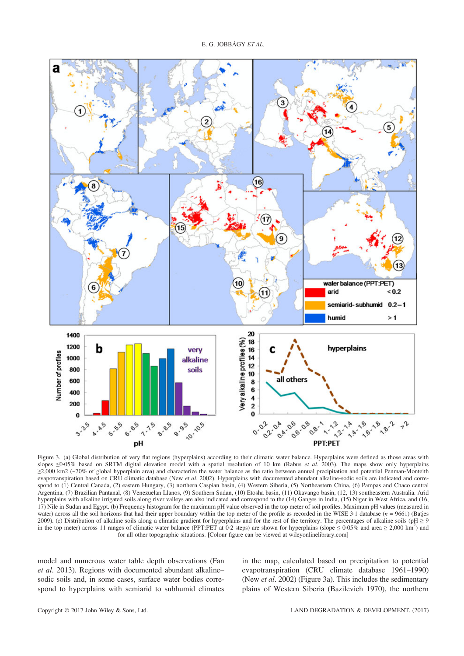

Figure 3. (a) Global distribution of very flat regions (hyperplains) according to their climatic water balance. Hyperplains were defined as those areas with slopes  $\leq$ 0.05% based on SRTM digital elevation model with a spatial resolution of 10 km (Rabus et al. 2003). The maps show only hyperplains ≥2,000 km2 (~70% of global hyperplain area) and characterize the water balance as the ratio between annual precipitation and potential Penman-Monteith evapotranspiration based on CRU climatic database (New et al. 2002). Hyperplains with documented abundant alkaline-sodic soils are indicated and correspond to (1) Central Canada, (2) eastern Hungary, (3) northern Caspian basin, (4) Western Siberia, (5) Northeastern China, (6) Pampas and Chaco central Argentina, (7) Brazilian Pantanal, (8) Venezuelan Llanos, (9) Southern Sudan, (10) Etosha basin, (11) Okavango basin, (12, 13) southeastern Australia. Arid hyperplains with alkaline irrigated soils along river valleys are also indicated and correspond to the (14) Ganges in India, (15) Niger in West Africa, and (16, 17) Nile in Sudan and Egypt. (b) Frequency histogram for the maximum pH value observed in the top meter of soil profiles. Maximum pH values (measured in water) across all the soil horizons that had their upper boundary within the top meter of the profile as recorded in the WISE 3.1 database ( $n = 9661$ ) (Batjes 2009). (c) Distribution of alkaline soils along a climatic gradient for hyperplains and for the rest of the territory. The percentages of alkaline soils (pH  $\geq$  9 in the top meter) across 11 ranges of climatic water balance (PPT:PET at 0.2 steps) are shown for hyperplains (slope  $\leq 0.05\%$  and area  $\geq 2,000 \text{ km}^2$ ) and for all other topographic situations. [Colour figure can be viewed at [wileyonlinelibrary.com\]](http://wileyonlinelibrary.com)

model and numerous water table depth observations (Fan et al. 2013). Regions with documented abundant alkaline– sodic soils and, in some cases, surface water bodies correspond to hyperplains with semiarid to subhumid climates in the map, calculated based on precipitation to potential evapotranspiration (CRU climate database 1961–1990) (New et al. 2002) (Figure 3a). This includes the sedimentary plains of Western Siberia (Bazilevich 1970), the northern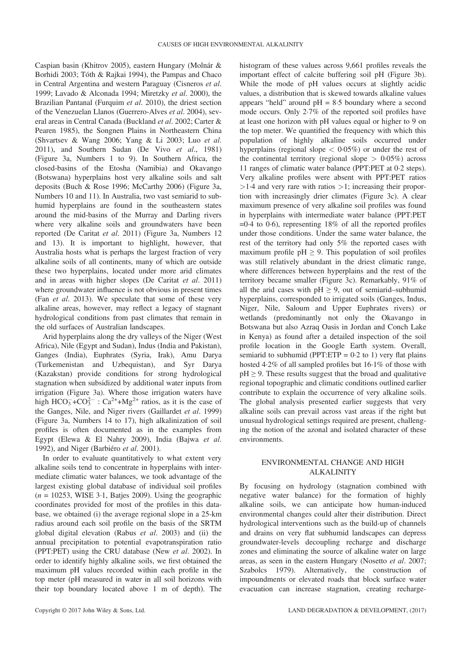Caspian basin (Khitrov 2005), eastern Hungary (Molnár & Borhidi 2003; Tóth & Rajkai 1994), the Pampas and Chaco in Central Argentina and western Paraguay (Cisneros et al. 1999; Lavado & Alconada 1994; Miretzky et al. 2000), the Brazilian Pantanal (Furquim et al. 2010), the driest section of the Venezuelan Llanos (Guerrero-Alves et al. 2004), several areas in Central Canada (Buckland et al. 2002; Carter & Pearen 1985), the Songnen Plains in Northeastern China (Shvartsev & Wang 2006; Yang & Li 2003; Luo et al. 2011), and Southern Sudan (De Vivo et al., 1981) (Figure 3a, Numbers 1 to 9). In Southern Africa, the closed-basins of the Etosha (Namibia) and Okavango (Botswana) hyperplains host very alkaline soils and salt deposits (Buch & Rose 1996; McCarthy 2006) (Figure 3a, Numbers 10 and 11). In Australia, two vast semiarid to subhumid hyperplains are found in the southeastern states around the mid-basins of the Murray and Darling rivers where very alkaline soils and groundwaters have been reported (De Caritat et al. 2011) (Figure 3a, Numbers 12 and 13). It is important to highlight, however, that Australia hosts what is perhaps the largest fraction of very alkaline soils of all continents, many of which are outside these two hyperplains, located under more arid climates and in areas with higher slopes (De Caritat et al. 2011) where groundwater influence is not obvious in present times (Fan et al. 2013). We speculate that some of these very alkaline areas, however, may reflect a legacy of stagnant hydrological conditions from past climates that remain in the old surfaces of Australian landscapes.

Arid hyperplains along the dry valleys of the Niger (West Africa), Nile (Egypt and Sudan), Indus (India and Pakistan), Ganges (India), Euphrates (Syria, Irak), Amu Darya (Turkemenistan and Uzbequistan), and Syr Darya (Kazakstan) provide conditions for strong hydrological stagnation when subsidized by additional water inputs from irrigation (Figure 3a). Where those irrigation waters have high  $HCO_3^- + CO_3^{2-}$ :  $Ca^{2+} + Mg^{2+}$  ratios, as it is the case of the Ganges, Nile, and Niger rivers (Gaillardet et al. 1999) (Figure 3a, Numbers 14 to 17), high alkalinization of soil profiles is often documented as in the examples from Egypt (Elewa & El Nahry 2009), India (Bajwa et al. 1992), and Niger (Barbiéro et al. 2001).

In order to evaluate quantitatively to what extent very alkaline soils tend to concentrate in hyperplains with intermediate climatic water balances, we took advantage of the largest existing global database of individual soil profiles  $(n = 10253, WISE 3.1, Batjes 2009)$ . Using the geographic coordinates provided for most of the profiles in this database, we obtained (i) the average regional slope in a 25-km radius around each soil profile on the basis of the SRTM global digital elevation (Rabus *et al.* 2003) and (ii) the annual precipitation to potential evapotranspiration ratio (PPT:PET) using the CRU database (New et al. 2002). In order to identify highly alkaline soils, we first obtained the maximum pH values recorded within each profile in the top meter (pH measured in water in all soil horizons with their top boundary located above 1 m of depth). The

important effect of calcite buffering soil pH (Figure 3b). While the mode of pH values occurs at slightly acidic values, a distribution that is skewed towards alkaline values appears "held" around  $pH = 8.5$  boundary where a second mode occurs. Only 2·7% of the reported soil profiles have at least one horizon with pH values equal or higher to 9 on the top meter. We quantified the frequency with which this population of highly alkaline soils occurred under hyperplains (regional slope  $< 0.05\%$ ) or under the rest of the continental territory (regional slope  $> 0.05\%$ ) across 11 ranges of climatic water balance (PPT:PET at 0·2 steps). Very alkaline profiles were absent with PPT:PET ratios  $>1.4$  and very rare with ratios  $>1$ ; increasing their proportion with increasingly drier climates (Figure 3c). A clear maximum presence of very alkaline soil profiles was found in hyperplains with intermediate water balance (PPT:PET  $=0.4$  to 0.6), representing 18% of all the reported profiles under those conditions. Under the same water balance, the rest of the territory had only 5% the reported cases with maximum profile pH  $\geq$  9. This population of soil profiles was still relatively abundant in the driest climatic range, where differences between hyperplains and the rest of the territory became smaller (Figure 3c). Remarkably, 91% of all the arid cases with  $pH \geq 9$ , out of semiarid–subhumid hyperplains, corresponded to irrigated soils (Ganges, Indus, Niger, Nile, Saloum and Upper Euphrates rivers) or wetlands (predominantly not only the Okavango in Botswana but also Azraq Oasis in Jordan and Conch Lake in Kenya) as found after a detailed inspection of the soil profile location in the Google Earth system. Overall, semiarid to subhumid (PPT:ETP =  $0.2$  to 1) very flat plains hosted 4·2% of all sampled profiles but 16·1% of those with  $pH \geq 9$ . These results suggest that the broad and qualitative regional topographic and climatic conditions outlined earlier contribute to explain the occurrence of very alkaline soils. The global analysis presented earlier suggests that very alkaline soils can prevail across vast areas if the right but

histogram of these values across 9,661 profiles reveals the

# ENVIRONMENTAL CHANGE AND HIGH ALKALINITY

unusual hydrological settings required are present, challenging the notion of the azonal and isolated character of these

environments.

By focusing on hydrology (stagnation combined with negative water balance) for the formation of highly alkaline soils, we can anticipate how human-induced environmental changes could alter their distribution. Direct hydrological interventions such as the build-up of channels and drains on very flat subhumid landscapes can depress groundwater-levels decoupling recharge and discharge zones and eliminating the source of alkaline water on large areas, as seen in the eastern Hungary (Nosetto et al. 2007; Szabolcs 1979). Alternatively, the construction of impoundments or elevated roads that block surface water evacuation can increase stagnation, creating recharge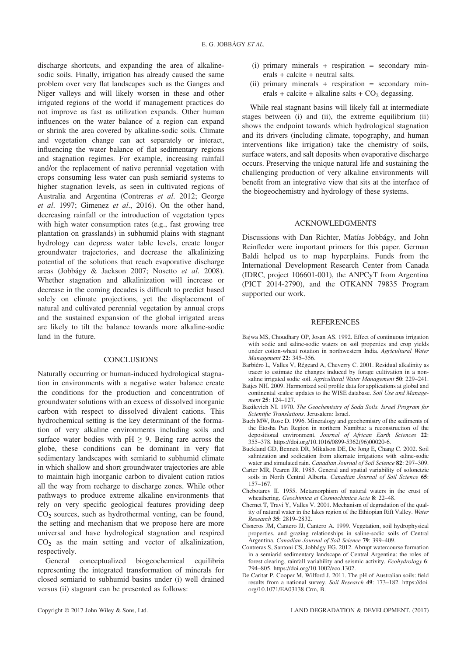discharge shortcuts, and expanding the area of alkalinesodic soils. Finally, irrigation has already caused the same problem over very flat landscapes such as the Ganges and Niger valleys and will likely worsen in these and other irrigated regions of the world if management practices do not improve as fast as utilization expands. Other human influences on the water balance of a region can expand or shrink the area covered by alkaline-sodic soils. Climate and vegetation change can act separately or interact, influencing the water balance of flat sedimentary regions and stagnation regimes. For example, increasing rainfall and/or the replacement of native perennial vegetation with crops consuming less water can push semiarid systems to higher stagnation levels, as seen in cultivated regions of Australia and Argentina (Contreras et al. 2012; George et al. 1997; Gimenez et al., 2016). On the other hand, decreasing rainfall or the introduction of vegetation types with high water consumption rates (e.g., fast growing tree plantation on grasslands) in subhumid plains with stagnant hydrology can depress water table levels, create longer groundwater trajectories, and decrease the alkalinizing potential of the solutions that reach evaporative discharge areas (Jobbágy & Jackson 2007; Nosetto et al. 2008). Whether stagnation and alkalinization will increase or decrease in the coming decades is difficult to predict based solely on climate projections, yet the displacement of natural and cultivated perennial vegetation by annual crops and the sustained expansion of the global irrigated areas are likely to tilt the balance towards more alkaline-sodic land in the future.

# **CONCLUSIONS**

Naturally occurring or human-induced hydrological stagnation in environments with a negative water balance create the conditions for the production and concentration of groundwater solutions with an excess of dissolved inorganic carbon with respect to dissolved divalent cations. This hydrochemical setting is the key determinant of the formation of very alkaline environments including soils and surface water bodies with  $pH \ge 9$ . Being rare across the globe, these conditions can be dominant in very flat sedimentary landscapes with semiarid to subhumid climate in which shallow and short groundwater trajectories are able to maintain high inorganic carbon to divalent cation ratios all the way from recharge to discharge zones. While other pathways to produce extreme alkaline environments that rely on very specific geological features providing deep  $CO<sub>2</sub>$  sources, such as hydrothermal venting, can be found, the setting and mechanism that we propose here are more universal and have hydrological stagnation and respired  $CO<sub>2</sub>$  as the main setting and vector of alkalinization, respectively.

General conceptualized biogeochemical equilibria representing the integrated transformation of minerals for closed semiarid to subhumid basins under (i) well drained versus (ii) stagnant can be presented as follows:

- (i) primary minerals  $+$  respiration  $=$  secondary minerals + calcite + neutral salts.
- (ii) primary minerals  $+$  respiration  $=$  secondary minerals + calcite + alkaline salts +  $CO<sub>2</sub>$  degassing.

While real stagnant basins will likely fall at intermediate stages between (i) and (ii), the extreme equilibrium (ii) shows the endpoint towards which hydrological stagnation and its drivers (including climate, topography, and human interventions like irrigation) take the chemistry of soils, surface waters, and salt deposits when evaporative discharge occurs. Preserving the unique natural life and sustaining the challenging production of very alkaline environments will benefit from an integrative view that sits at the interface of the biogeochemistry and hydrology of these systems.

### ACKNOWLEDGMENTS

Discussions with Dan Richter, Matías Jobbágy, and John Reinfleder were important primers for this paper. German Baldi helped us to map hyperplains. Funds from the International Development Research Center from Canada (IDRC, project 106601-001), the ANPCyT from Argentina (PICT 2014-2790), and the OTKANN 79835 Program supported our work.

### **REFERENCES**

- Bajwa MS, Choudhary OP, Josan AS. 1992. Effect of continuous irrigation with sodic and saline-sodic waters on soil properties and crop yields under cotton-wheat rotation in northwestern India. Agricultural Water Management 22: 345–356.
- Barbiéro L, Valles V, Régeard A, Cheverry C. 2001. Residual alkalinity as tracer to estimate the changes induced by forage cultivation in a nonsaline irrigated sodic soil. Agricultural Water Management 50: 229-241.
- Batjes NH. 2009. Harmonized soil profile data for applications at global and continental scales: updates to the WISE database. Soil Use and Management 25: 124-127.
- Bazilevich NI. 1970. The Geochemistry of Soda Soils. Israel Program for Scientific Translations. Jerusalem: Israel.
- Buch MW, Rose D. 1996. Mineralogy and geochemistry of the sediments of the Etosha Pan Region in northern Namibia: a reconstruction of the depositional environment. Journal of African Earth Sciences 22: 355–378. [https://doi.org/10.1016/0899-5362\(96\)00020-6.](https://doi.org/10.1016/0899-5362(96)00020-6)
- Buckland GD, Bennett DR, Mikalson DE, De Jong E, Chang C. 2002. Soil salinization and sodication from alternate irrigations with saline-sodic water and simulated rain. *Canadian Journal of Soil Science* 82: 297-309.
- Carter MR, Pearen JR. 1985. General and spatial variability of solonetzic soils in North Central Alberta. Canadian Journal of Soil Science 65: 157–167.
- Chebotarev II. 1955. Metamorphism of natural waters in the crust of wheathering. Geochimica et Cosmochimica Acta 8: 22-48.
- Chernet T, Travi Y, Valles V. 2001. Mechanism of degradation of the quality of natural water in the lakes region of the Ethiopian Rift Valley. Water Research 35: 2819–2832.
- Cisneros JM, Cantero JJ, Cantero A. 1999. Vegetation, soil hydrophysical properties, and grazing relationships in saline-sodic soils of Central Argentina. Canadian Journal of Soil Science 79: 399–409.
- Contreras S, Santoni CS, Jobbágy EG. 2012. Abrupt watercourse formation in a semiarid sedimentary landscape of Central Argentina: the roles of forest clearing, rainfall variability and seismic activity. Ecohydrology 6: 794–805. [https://doi.org/10.1002/eco.1302.](https://doi.org/10.1002/eco.1302)
- De Caritat P, Cooper M, Wilford J. 2011. The pH of Australian soils: field results from a national survey. Soil Research 49: 173–182. [https://doi.](https://doi.org/10.1071/EA03138) [org/10.1071/EA03138](https://doi.org/10.1071/EA03138) Crm, B.